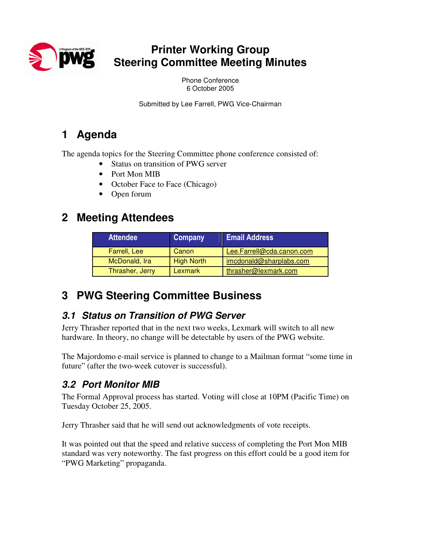

## **Printer Working Group Steering Committee Meeting Minutes**

Phone Conference 6 October 2005

Submitted by Lee Farrell, PWG Vice-Chairman

# **1 Agenda**

The agenda topics for the Steering Committee phone conference consisted of:

- Status on transition of PWG server
- Port Mon MIB
- October Face to Face (Chicago)
- Open forum

## **2 Meeting Attendees**

| <b>Attendee</b> | Company           | <b>Email Address</b>      |
|-----------------|-------------------|---------------------------|
| Farrell, Lee    | Canon             | Lee.Farrell@cda.canon.com |
| McDonald, Ira   | <b>High North</b> | imcdonald@sharplabs.com   |
| Thrasher, Jerry | <b>Lexmark</b>    | thrasher@lexmark.com      |

## **3 PWG Steering Committee Business**

### *3.1 Status on Transition of PWG Server*

Jerry Thrasher reported that in the next two weeks, Lexmark will switch to all new hardware. In theory, no change will be detectable by users of the PWG website.

The Majordomo e-mail service is planned to change to a Mailman format "some time in future" (after the two-week cutover is successful).

### *3.2 Port Monitor MIB*

The Formal Approval process has started. Voting will close at 10PM (Pacific Time) on Tuesday October 25, 2005.

Jerry Thrasher said that he will send out acknowledgments of vote receipts.

It was pointed out that the speed and relative success of completing the Port Mon MIB standard was very noteworthy. The fast progress on this effort could be a good item for "PWG Marketing" propaganda.